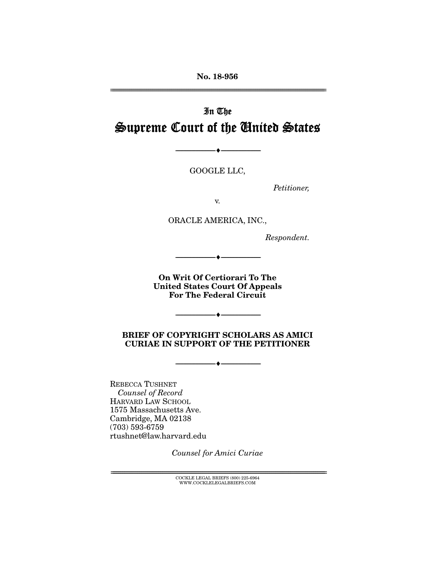No. 18-956 ================================================================================================================

# In The Supreme Court of the United States

GOOGLE LLC,

--------------------------------- ---------------------------------

*Petitioner,* 

v.

ORACLE AMERICA, INC.,

*Respondent.* 

On Writ Of Certiorari To The United States Court Of Appeals For The Federal Circuit

--------------------------------- ---------------------------------

 $\rightarrow$ 

#### BRIEF OF COPYRIGHT SCHOLARS AS AMICI CURIAE IN SUPPORT OF THE PETITIONER

 $\bullet$   $-$ 

REBECCA TUSHNET *Counsel of Record* HARVARD LAW SCHOOL 1575 Massachusetts Ave. Cambridge, MA 02138 (703) 593-6759 rtushnet@law.harvard.edu

*Counsel for Amici Curiae* 

 ${ \bf COCKLE}$  LEGAL BRIEFS (800) 225-6964 WWW.COCKLELEGALBRIEFS.COM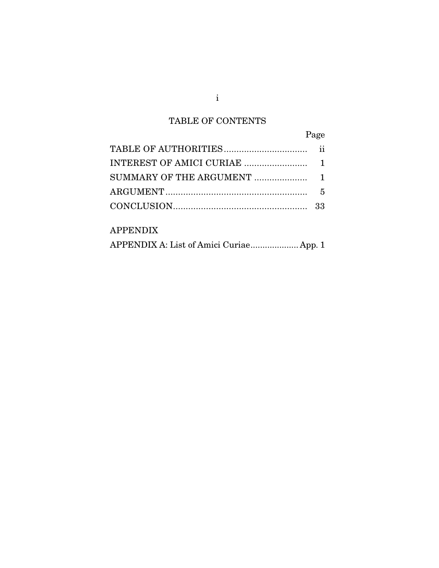# TABLE OF CONTENTS

| Page |
|------|
|      |
|      |
|      |
|      |
|      |
|      |

### APPENDIX

|  |  | APPENDIX A: List of Amici Curiae App. 1 |  |
|--|--|-----------------------------------------|--|
|--|--|-----------------------------------------|--|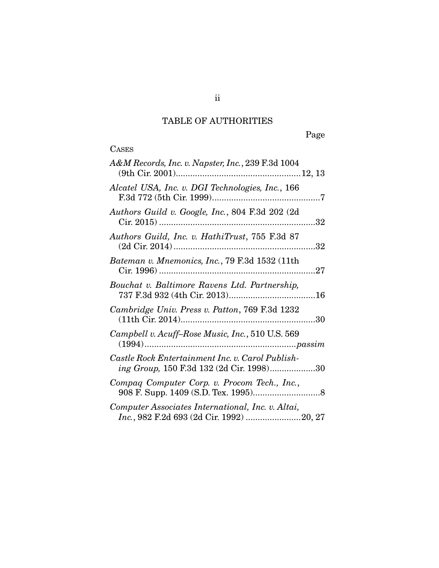# TABLE OF AUTHORITIES

# **CASES**

| A&M Records, Inc. v. Napster, Inc., 239 F.3d 1004                                            |
|----------------------------------------------------------------------------------------------|
| Alcatel USA, Inc. v. DGI Technologies, Inc., 166                                             |
| Authors Guild v. Google, Inc., 804 F.3d 202 (2d                                              |
| Authors Guild, Inc. v. HathiTrust, 755 F.3d 87<br>32                                         |
| Bateman v. Mnemonics, Inc., 79 F.3d 1532 (11th                                               |
| Bouchat v. Baltimore Ravens Ltd. Partnership,                                                |
| Cambridge Univ. Press v. Patton, 769 F.3d 1232                                               |
| Campbell v. Acuff-Rose Music, Inc., 510 U.S. 569                                             |
| Castle Rock Entertainment Inc. v. Carol Publish-<br>ing Group, 150 F.3d 132 (2d Cir. 1998)30 |
| Compaq Computer Corp. v. Procom Tech., Inc.,                                                 |
| Computer Associates International, Inc. v. Altai,                                            |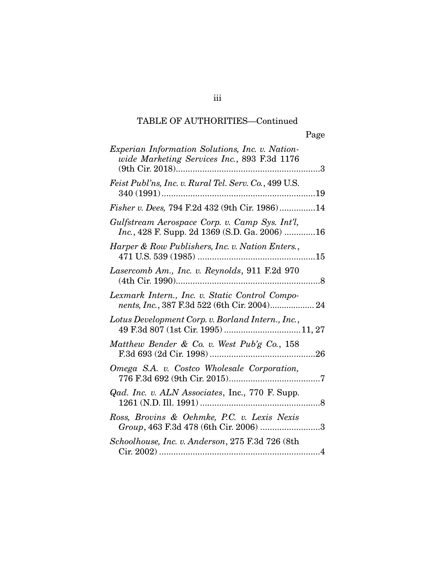# TABLE OF AUTHORITIES—Continued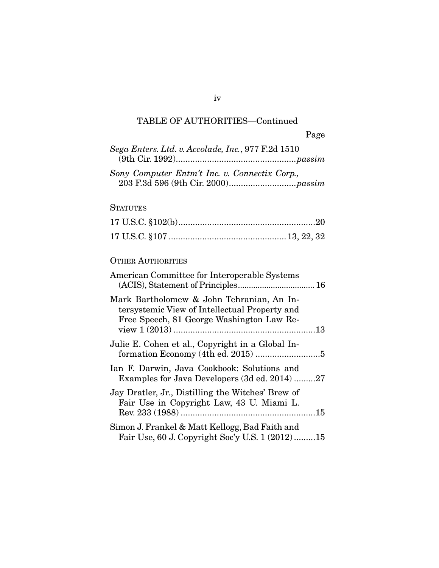# TABLE OF AUTHORITIES—Continued

| Sega Enters. Ltd. v. Accolade, Inc., 977 F.2d 1510                                                                                      |
|-----------------------------------------------------------------------------------------------------------------------------------------|
| Sony Computer Entm't Inc. v. Connectix Corp.,                                                                                           |
| <b>STATUTES</b>                                                                                                                         |
|                                                                                                                                         |
|                                                                                                                                         |
| <b>OTHER AUTHORITIES</b>                                                                                                                |
| American Committee for Interoperable Systems                                                                                            |
| Mark Bartholomew & John Tehranian, An In-<br>tersystemic View of Intellectual Property and<br>Free Speech, 81 George Washington Law Re- |
| Julie E. Cohen et al., Copyright in a Global In-                                                                                        |
| Ian F. Darwin, Java Cookbook: Solutions and<br>Examples for Java Developers (3d ed. 2014) 27                                            |
| Jay Dratler, Jr., Distilling the Witches' Brew of<br>Fair Use in Copyright Law, 43 U. Miami L.                                          |
| Simon J. Frankel & Matt Kellogg, Bad Faith and<br>Fair Use, 60 J. Copyright Soc'y U.S. 1 (2012)15                                       |

iv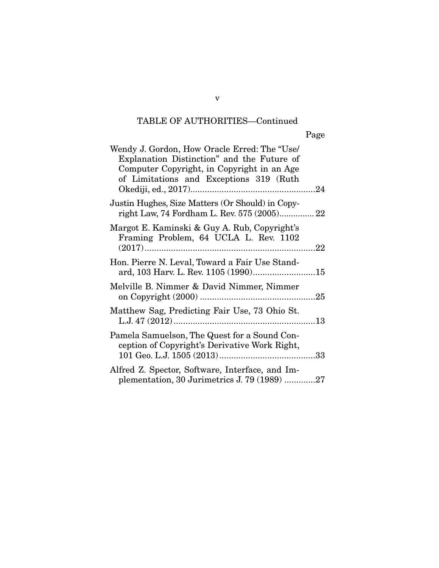# TABLE OF AUTHORITIES—Continued

| Wendy J. Gordon, How Oracle Erred: The "Use/<br>Explanation Distinction" and the Future of<br>Computer Copyright, in Copyright in an Age<br>of Limitations and Exceptions 319 (Ruth |
|-------------------------------------------------------------------------------------------------------------------------------------------------------------------------------------|
| Justin Hughes, Size Matters (Or Should) in Copy-<br>right Law, 74 Fordham L. Rev. 575 (2005) 22                                                                                     |
| Margot E. Kaminski & Guy A. Rub, Copyright's<br>Framing Problem, 64 UCLA L. Rev. 1102                                                                                               |
| Hon. Pierre N. Leval, Toward a Fair Use Stand-                                                                                                                                      |
| Melville B. Nimmer & David Nimmer, Nimmer                                                                                                                                           |
| Matthew Sag, Predicting Fair Use, 73 Ohio St.                                                                                                                                       |
| Pamela Samuelson, The Quest for a Sound Con-<br>ception of Copyright's Derivative Work Right,                                                                                       |
| Alfred Z. Spector, Software, Interface, and Im-<br>plementation, 30 Jurimetrics J. 79 (1989) 27                                                                                     |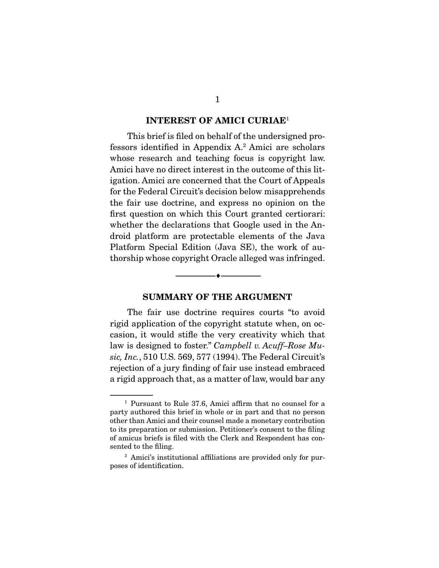#### INTEREST OF AMICI CURIAE<sup>1</sup>

 This brief is filed on behalf of the undersigned professors identified in Appendix A.2 Amici are scholars whose research and teaching focus is copyright law. Amici have no direct interest in the outcome of this litigation. Amici are concerned that the Court of Appeals for the Federal Circuit's decision below misapprehends the fair use doctrine, and express no opinion on the first question on which this Court granted certiorari: whether the declarations that Google used in the Android platform are protectable elements of the Java Platform Special Edition (Java SE), the work of authorship whose copyright Oracle alleged was infringed.

#### SUMMARY OF THE ARGUMENT

--------------------------------- ---------------------------------

 The fair use doctrine requires courts "to avoid rigid application of the copyright statute when, on occasion, it would stifle the very creativity which that law is designed to foster." *Campbell v. Acuff–Rose Music, Inc.*, 510 U.S. 569, 577 (1994). The Federal Circuit's rejection of a jury finding of fair use instead embraced a rigid approach that, as a matter of law, would bar any

<sup>1</sup> Pursuant to Rule 37.6, Amici affirm that no counsel for a party authored this brief in whole or in part and that no person other than Amici and their counsel made a monetary contribution to its preparation or submission. Petitioner's consent to the filing of amicus briefs is filed with the Clerk and Respondent has consented to the filing.

<sup>&</sup>lt;sup>2</sup> Amici's institutional affiliations are provided only for purposes of identification.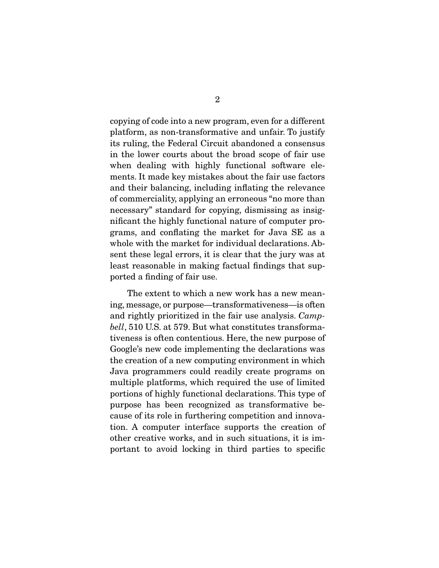copying of code into a new program, even for a different platform, as non-transformative and unfair. To justify its ruling, the Federal Circuit abandoned a consensus in the lower courts about the broad scope of fair use when dealing with highly functional software elements. It made key mistakes about the fair use factors and their balancing, including inflating the relevance of commerciality, applying an erroneous "no more than necessary" standard for copying, dismissing as insignificant the highly functional nature of computer programs, and conflating the market for Java SE as a whole with the market for individual declarations. Absent these legal errors, it is clear that the jury was at least reasonable in making factual findings that supported a finding of fair use.

 The extent to which a new work has a new meaning, message, or purpose—transformativeness—is often and rightly prioritized in the fair use analysis. *Campbell*, 510 U.S. at 579. But what constitutes transformativeness is often contentious. Here, the new purpose of Google's new code implementing the declarations was the creation of a new computing environment in which Java programmers could readily create programs on multiple platforms, which required the use of limited portions of highly functional declarations. This type of purpose has been recognized as transformative because of its role in furthering competition and innovation. A computer interface supports the creation of other creative works, and in such situations, it is important to avoid locking in third parties to specific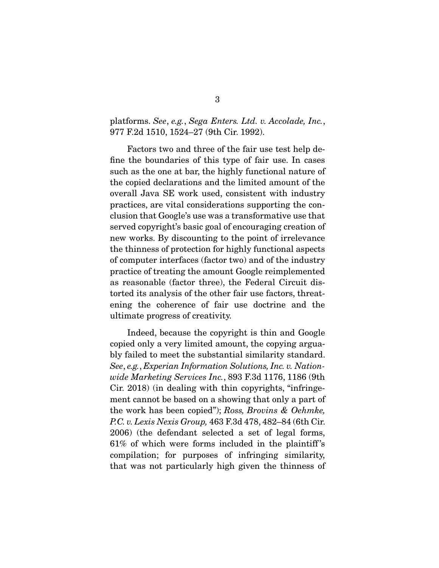#### platforms. *See*, *e.g.*, *Sega Enters. Ltd. v. Accolade, Inc.*, 977 F.2d 1510, 1524–27 (9th Cir. 1992).

 Factors two and three of the fair use test help define the boundaries of this type of fair use. In cases such as the one at bar, the highly functional nature of the copied declarations and the limited amount of the overall Java SE work used, consistent with industry practices, are vital considerations supporting the conclusion that Google's use was a transformative use that served copyright's basic goal of encouraging creation of new works. By discounting to the point of irrelevance the thinness of protection for highly functional aspects of computer interfaces (factor two) and of the industry practice of treating the amount Google reimplemented as reasonable (factor three), the Federal Circuit distorted its analysis of the other fair use factors, threatening the coherence of fair use doctrine and the ultimate progress of creativity.

 Indeed, because the copyright is thin and Google copied only a very limited amount, the copying arguably failed to meet the substantial similarity standard. *See*, *e.g.*, *Experian Information Solutions, Inc. v. Nationwide Marketing Services Inc.*, 893 F.3d 1176, 1186 (9th Cir. 2018) (in dealing with thin copyrights, "infringement cannot be based on a showing that only a part of the work has been copied"); *Ross, Brovins & Oehmke, P.C. v. Lexis Nexis Group,* 463 F.3d 478, 482–84 (6th Cir. 2006) (the defendant selected a set of legal forms, 61% of which were forms included in the plaintiff 's compilation; for purposes of infringing similarity, that was not particularly high given the thinness of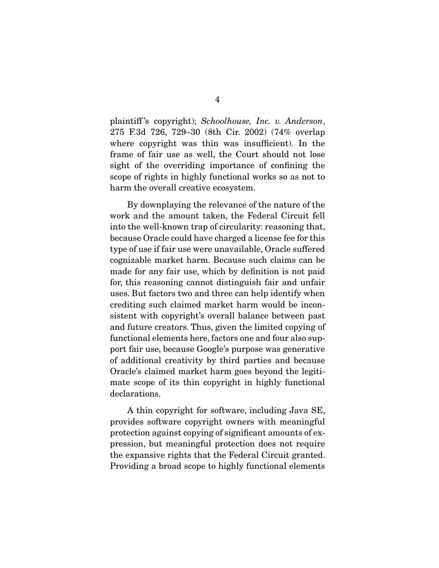plaintiff 's copyright); *Schoolhouse, Inc. v. Anderson*, 275 F.3d 726, 729–30 (8th Cir. 2002) (74% overlap where copyright was thin was insufficient). In the frame of fair use as well, the Court should not lose sight of the overriding importance of confining the scope of rights in highly functional works so as not to harm the overall creative ecosystem.

 By downplaying the relevance of the nature of the work and the amount taken, the Federal Circuit fell into the well-known trap of circularity: reasoning that, because Oracle could have charged a license fee for this type of use if fair use were unavailable, Oracle suffered cognizable market harm. Because such claims can be made for any fair use, which by definition is not paid for, this reasoning cannot distinguish fair and unfair uses. But factors two and three can help identify when crediting such claimed market harm would be inconsistent with copyright's overall balance between past and future creators. Thus, given the limited copying of functional elements here, factors one and four also support fair use, because Google's purpose was generative of additional creativity by third parties and because Oracle's claimed market harm goes beyond the legitimate scope of its thin copyright in highly functional declarations.

 A thin copyright for software, including Java SE, provides software copyright owners with meaningful protection against copying of significant amounts of expression, but meaningful protection does not require the expansive rights that the Federal Circuit granted. Providing a broad scope to highly functional elements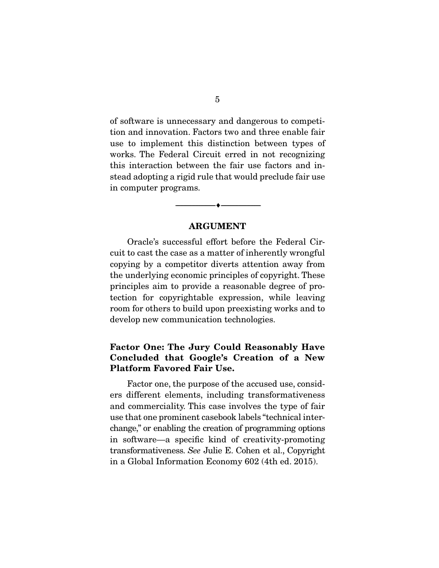of software is unnecessary and dangerous to competition and innovation. Factors two and three enable fair use to implement this distinction between types of works. The Federal Circuit erred in not recognizing this interaction between the fair use factors and instead adopting a rigid rule that would preclude fair use in computer programs.

#### ARGUMENT

--------------------------------- ---------------------------------

 Oracle's successful effort before the Federal Circuit to cast the case as a matter of inherently wrongful copying by a competitor diverts attention away from the underlying economic principles of copyright. These principles aim to provide a reasonable degree of protection for copyrightable expression, while leaving room for others to build upon preexisting works and to develop new communication technologies.

### Factor One: The Jury Could Reasonably Have Concluded that Google's Creation of a New Platform Favored Fair Use.

 Factor one, the purpose of the accused use, considers different elements, including transformativeness and commerciality. This case involves the type of fair use that one prominent casebook labels "technical interchange," or enabling the creation of programming options in software—a specific kind of creativity-promoting transformativeness. *See* Julie E. Cohen et al., Copyright in a Global Information Economy 602 (4th ed. 2015).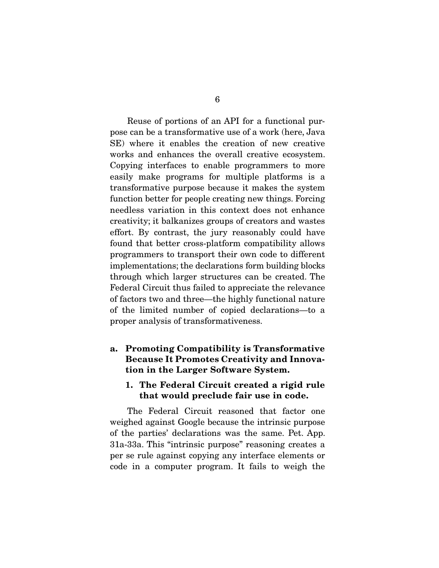Reuse of portions of an API for a functional purpose can be a transformative use of a work (here, Java SE) where it enables the creation of new creative works and enhances the overall creative ecosystem. Copying interfaces to enable programmers to more easily make programs for multiple platforms is a transformative purpose because it makes the system function better for people creating new things. Forcing needless variation in this context does not enhance creativity; it balkanizes groups of creators and wastes effort. By contrast, the jury reasonably could have found that better cross-platform compatibility allows programmers to transport their own code to different implementations; the declarations form building blocks through which larger structures can be created. The Federal Circuit thus failed to appreciate the relevance of factors two and three—the highly functional nature of the limited number of copied declarations—to a proper analysis of transformativeness.

#### a. Promoting Compatibility is Transformative Because It Promotes Creativity and Innovation in the Larger Software System.

#### 1. The Federal Circuit created a rigid rule that would preclude fair use in code.

 The Federal Circuit reasoned that factor one weighed against Google because the intrinsic purpose of the parties' declarations was the same. Pet. App. 31a-33a. This "intrinsic purpose" reasoning creates a per se rule against copying any interface elements or code in a computer program. It fails to weigh the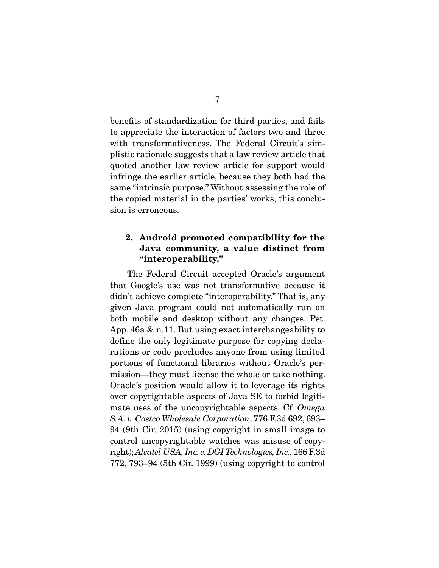benefits of standardization for third parties, and fails to appreciate the interaction of factors two and three with transformativeness. The Federal Circuit's simplistic rationale suggests that a law review article that quoted another law review article for support would infringe the earlier article, because they both had the same "intrinsic purpose." Without assessing the role of the copied material in the parties' works, this conclusion is erroneous.

### 2. Android promoted compatibility for the Java community, a value distinct from "interoperability."

 The Federal Circuit accepted Oracle's argument that Google's use was not transformative because it didn't achieve complete "interoperability." That is, any given Java program could not automatically run on both mobile and desktop without any changes. Pet. App. 46a & n.11. But using exact interchangeability to define the only legitimate purpose for copying declarations or code precludes anyone from using limited portions of functional libraries without Oracle's permission—they must license the whole or take nothing. Oracle's position would allow it to leverage its rights over copyrightable aspects of Java SE to forbid legitimate uses of the uncopyrightable aspects. Cf. *Omega S.A. v. Costco Wholesale Corporation*, 776 F.3d 692, 693– 94 (9th Cir. 2015) (using copyright in small image to control uncopyrightable watches was misuse of copyright); *Alcatel USA, Inc. v. DGI Technologies, Inc.*, 166 F.3d 772, 793–94 (5th Cir. 1999) (using copyright to control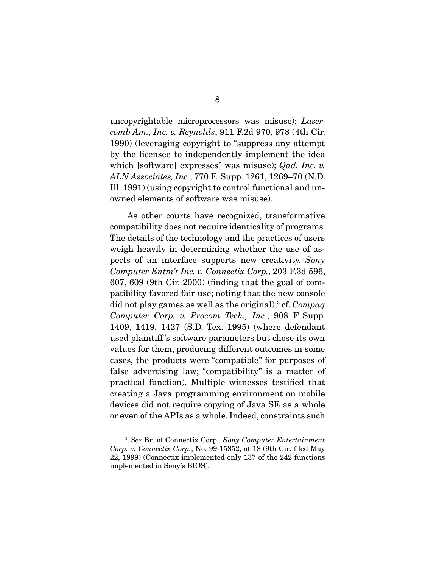uncopyrightable microprocessors was misuse); *Lasercomb Am., Inc. v. Reynolds*, 911 F.2d 970, 978 (4th Cir. 1990) (leveraging copyright to "suppress any attempt by the licensee to independently implement the idea which [software] expresses" was misuse); *Qad. Inc. v. ALN Associates, Inc.*, 770 F. Supp. 1261, 1269–70 (N.D. Ill. 1991) (using copyright to control functional and unowned elements of software was misuse).

 As other courts have recognized, transformative compatibility does not require identicality of programs. The details of the technology and the practices of users weigh heavily in determining whether the use of aspects of an interface supports new creativity. *Sony Computer Entm't Inc. v. Connectix Corp.*, 203 F.3d 596, 607, 609 (9th Cir. 2000) (finding that the goal of compatibility favored fair use; noting that the new console did not play games as well as the original);<sup>3</sup> cf. *Compaq Computer Corp. v. Procom Tech., Inc.*, 908 F. Supp. 1409, 1419, 1427 (S.D. Tex. 1995) (where defendant used plaintiff 's software parameters but chose its own values for them, producing different outcomes in some cases, the products were "compatible" for purposes of false advertising law; "compatibility" is a matter of practical function). Multiple witnesses testified that creating a Java programming environment on mobile devices did not require copying of Java SE as a whole or even of the APIs as a whole. Indeed, constraints such

<sup>3</sup> *See* Br. of Connectix Corp., *Sony Computer Entertainment Corp. v. Connectix Corp.*, No. 99-15852, at 18 (9th Cir. filed May 22, 1999) (Connectix implemented only 137 of the 242 functions implemented in Sony's BIOS).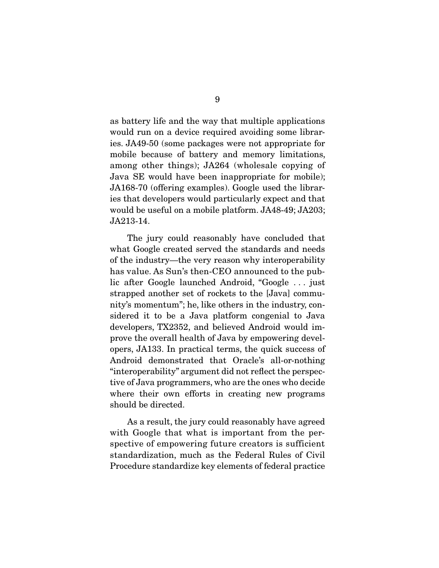as battery life and the way that multiple applications would run on a device required avoiding some libraries. JA49-50 (some packages were not appropriate for mobile because of battery and memory limitations, among other things); JA264 (wholesale copying of Java SE would have been inappropriate for mobile); JA168-70 (offering examples). Google used the libraries that developers would particularly expect and that would be useful on a mobile platform. JA48-49; JA203; JA213-14.

 The jury could reasonably have concluded that what Google created served the standards and needs of the industry—the very reason why interoperability has value. As Sun's then-CEO announced to the public after Google launched Android, "Google . . . just strapped another set of rockets to the [Java] community's momentum"; he, like others in the industry, considered it to be a Java platform congenial to Java developers, TX2352, and believed Android would improve the overall health of Java by empowering developers, JA133. In practical terms, the quick success of Android demonstrated that Oracle's all-or-nothing "interoperability" argument did not reflect the perspective of Java programmers, who are the ones who decide where their own efforts in creating new programs should be directed.

 As a result, the jury could reasonably have agreed with Google that what is important from the perspective of empowering future creators is sufficient standardization, much as the Federal Rules of Civil Procedure standardize key elements of federal practice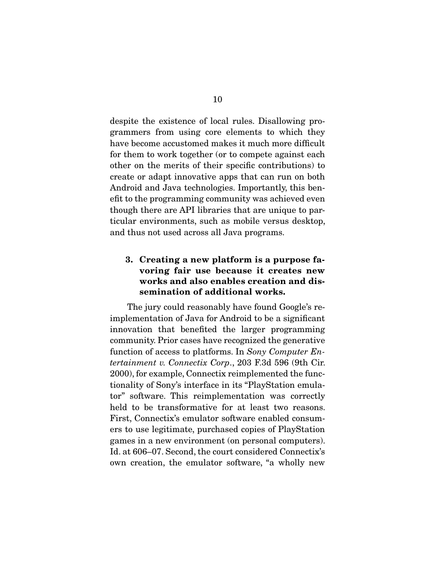despite the existence of local rules. Disallowing programmers from using core elements to which they have become accustomed makes it much more difficult for them to work together (or to compete against each other on the merits of their specific contributions) to create or adapt innovative apps that can run on both Android and Java technologies. Importantly, this benefit to the programming community was achieved even though there are API libraries that are unique to particular environments, such as mobile versus desktop, and thus not used across all Java programs.

### 3. Creating a new platform is a purpose favoring fair use because it creates new works and also enables creation and dissemination of additional works.

 The jury could reasonably have found Google's reimplementation of Java for Android to be a significant innovation that benefited the larger programming community. Prior cases have recognized the generative function of access to platforms. In *Sony Computer Entertainment v. Connectix Corp*., 203 F.3d 596 (9th Cir. 2000), for example, Connectix reimplemented the functionality of Sony's interface in its "PlayStation emulator" software. This reimplementation was correctly held to be transformative for at least two reasons. First, Connectix's emulator software enabled consumers to use legitimate, purchased copies of PlayStation games in a new environment (on personal computers). Id. at 606–07. Second, the court considered Connectix's own creation, the emulator software, "a wholly new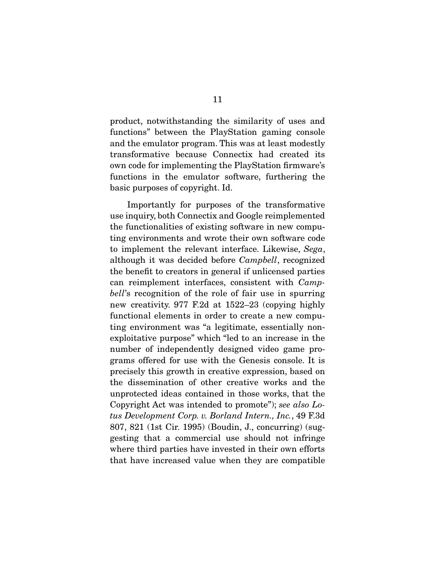product, notwithstanding the similarity of uses and functions" between the PlayStation gaming console and the emulator program. This was at least modestly transformative because Connectix had created its own code for implementing the PlayStation firmware's functions in the emulator software, furthering the basic purposes of copyright. Id.

 Importantly for purposes of the transformative use inquiry, both Connectix and Google reimplemented the functionalities of existing software in new computing environments and wrote their own software code to implement the relevant interface. Likewise, *Sega*, although it was decided before *Campbell*, recognized the benefit to creators in general if unlicensed parties can reimplement interfaces, consistent with *Campbell*'s recognition of the role of fair use in spurring new creativity. 977 F.2d at 1522–23 (copying highly functional elements in order to create a new computing environment was "a legitimate, essentially nonexploitative purpose" which "led to an increase in the number of independently designed video game programs offered for use with the Genesis console. It is precisely this growth in creative expression, based on the dissemination of other creative works and the unprotected ideas contained in those works, that the Copyright Act was intended to promote"); *see also Lotus Development Corp. v. Borland Intern., Inc.*, 49 F.3d 807, 821 (1st Cir. 1995) (Boudin, J., concurring) (suggesting that a commercial use should not infringe where third parties have invested in their own efforts that have increased value when they are compatible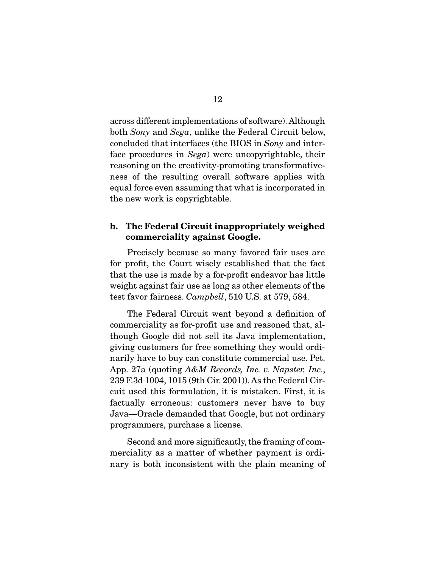across different implementations of software). Although both *Sony* and *Sega*, unlike the Federal Circuit below, concluded that interfaces (the BIOS in *Sony* and interface procedures in *Sega*) were uncopyrightable, their reasoning on the creativity-promoting transformativeness of the resulting overall software applies with equal force even assuming that what is incorporated in the new work is copyrightable.

#### b. The Federal Circuit inappropriately weighed commerciality against Google.

 Precisely because so many favored fair uses are for profit, the Court wisely established that the fact that the use is made by a for-profit endeavor has little weight against fair use as long as other elements of the test favor fairness. *Campbell*, 510 U.S. at 579, 584.

 The Federal Circuit went beyond a definition of commerciality as for-profit use and reasoned that, although Google did not sell its Java implementation, giving customers for free something they would ordinarily have to buy can constitute commercial use. Pet. App. 27a (quoting *A&M Records, Inc. v. Napster, Inc.*, 239 F.3d 1004, 1015 (9th Cir. 2001)). As the Federal Circuit used this formulation, it is mistaken. First, it is factually erroneous: customers never have to buy Java—Oracle demanded that Google, but not ordinary programmers, purchase a license.

 Second and more significantly, the framing of commerciality as a matter of whether payment is ordinary is both inconsistent with the plain meaning of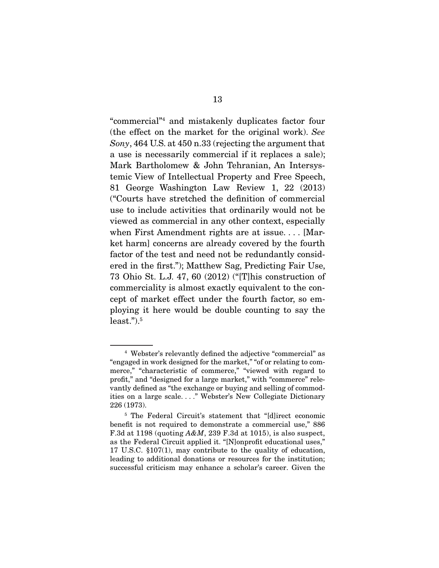"commercial"4 and mistakenly duplicates factor four (the effect on the market for the original work). *See Sony*, 464 U.S. at 450 n.33 (rejecting the argument that a use is necessarily commercial if it replaces a sale); Mark Bartholomew & John Tehranian, An Intersystemic View of Intellectual Property and Free Speech, 81 George Washington Law Review 1, 22 (2013) ("Courts have stretched the definition of commercial use to include activities that ordinarily would not be viewed as commercial in any other context, especially when First Amendment rights are at issue. . . . [Market harm] concerns are already covered by the fourth factor of the test and need not be redundantly considered in the first."); Matthew Sag, Predicting Fair Use, 73 Ohio St. L.J. 47, 60 (2012) ("[T]his construction of commerciality is almost exactly equivalent to the concept of market effect under the fourth factor, so employing it here would be double counting to say the  $least."$ ). $5$ 

<sup>4</sup> Webster's relevantly defined the adjective "commercial" as "engaged in work designed for the market," "of or relating to commerce," "characteristic of commerce," "viewed with regard to profit," and "designed for a large market," with "commerce" relevantly defined as "the exchange or buying and selling of commodities on a large scale. . . ." Webster's New Collegiate Dictionary 226 (1973).

<sup>5</sup> The Federal Circuit's statement that "[d]irect economic benefit is not required to demonstrate a commercial use," 886 F.3d at 1198 (quoting *A&M*, 239 F.3d at 1015), is also suspect, as the Federal Circuit applied it. "[N]onprofit educational uses," 17 U.S.C. §107(1), may contribute to the quality of education, leading to additional donations or resources for the institution; successful criticism may enhance a scholar's career. Given the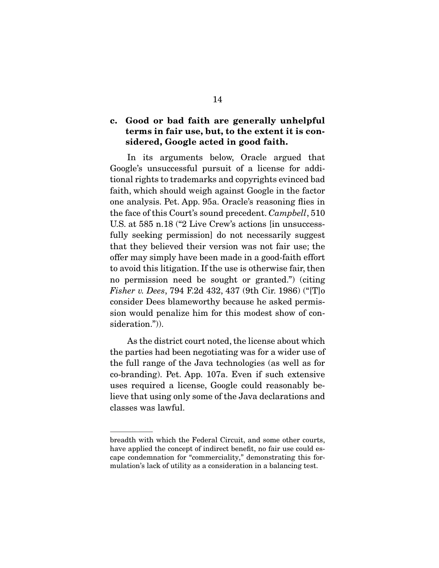### c. Good or bad faith are generally unhelpful terms in fair use, but, to the extent it is considered, Google acted in good faith.

 In its arguments below, Oracle argued that Google's unsuccessful pursuit of a license for additional rights to trademarks and copyrights evinced bad faith, which should weigh against Google in the factor one analysis. Pet. App. 95a. Oracle's reasoning flies in the face of this Court's sound precedent. *Campbell*, 510 U.S. at 585 n.18 ("2 Live Crew's actions [in unsuccessfully seeking permission] do not necessarily suggest that they believed their version was not fair use; the offer may simply have been made in a good-faith effort to avoid this litigation. If the use is otherwise fair, then no permission need be sought or granted.") (citing *Fisher v. Dees*, 794 F.2d 432, 437 (9th Cir. 1986) ("[T]o consider Dees blameworthy because he asked permission would penalize him for this modest show of consideration.")).

 As the district court noted, the license about which the parties had been negotiating was for a wider use of the full range of the Java technologies (as well as for co-branding). Pet. App. 107a. Even if such extensive uses required a license, Google could reasonably believe that using only some of the Java declarations and classes was lawful.

breadth with which the Federal Circuit, and some other courts, have applied the concept of indirect benefit, no fair use could escape condemnation for "commerciality," demonstrating this formulation's lack of utility as a consideration in a balancing test.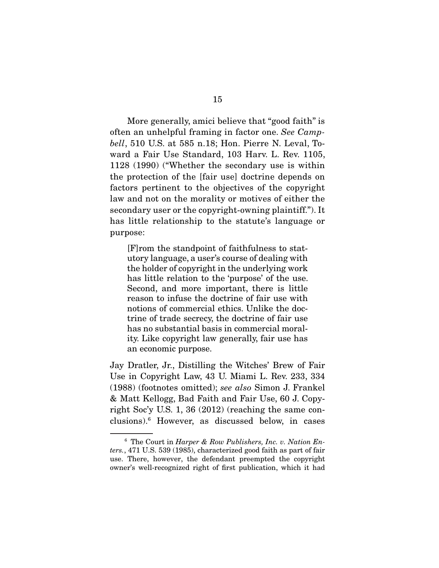More generally, amici believe that "good faith" is often an unhelpful framing in factor one. *See Campbell*, 510 U.S. at 585 n.18; Hon. Pierre N. Leval, Toward a Fair Use Standard, 103 Harv. L. Rev. 1105, 1128 (1990) ("Whether the secondary use is within the protection of the [fair use] doctrine depends on factors pertinent to the objectives of the copyright law and not on the morality or motives of either the secondary user or the copyright-owning plaintiff."). It has little relationship to the statute's language or purpose:

[F]rom the standpoint of faithfulness to statutory language, a user's course of dealing with the holder of copyright in the underlying work has little relation to the 'purpose' of the use. Second, and more important, there is little reason to infuse the doctrine of fair use with notions of commercial ethics. Unlike the doctrine of trade secrecy, the doctrine of fair use has no substantial basis in commercial morality. Like copyright law generally, fair use has an economic purpose.

Jay Dratler, Jr., Distilling the Witches' Brew of Fair Use in Copyright Law, 43 U. Miami L. Rev. 233, 334 (1988) (footnotes omitted); *see also* Simon J. Frankel & Matt Kellogg, Bad Faith and Fair Use, 60 J. Copyright Soc'y U.S. 1, 36 (2012) (reaching the same conclusions).6 However, as discussed below, in cases

<sup>6</sup> The Court in *Harper & Row Publishers, Inc. v. Nation Enters.*, 471 U.S. 539 (1985), characterized good faith as part of fair use. There, however, the defendant preempted the copyright owner's well-recognized right of first publication, which it had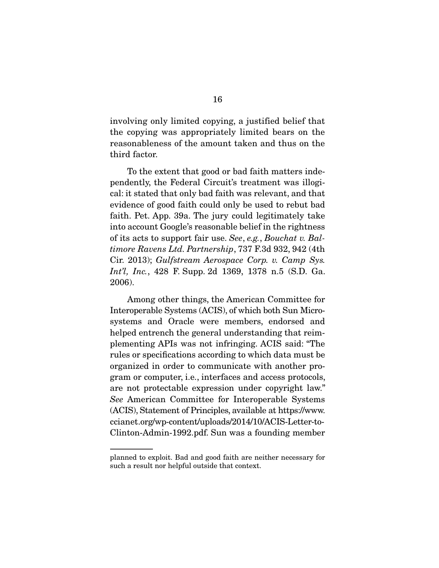involving only limited copying, a justified belief that the copying was appropriately limited bears on the reasonableness of the amount taken and thus on the third factor.

 To the extent that good or bad faith matters independently, the Federal Circuit's treatment was illogical: it stated that only bad faith was relevant, and that evidence of good faith could only be used to rebut bad faith. Pet. App. 39a. The jury could legitimately take into account Google's reasonable belief in the rightness of its acts to support fair use. *See*, *e.g.*, *Bouchat v. Baltimore Ravens Ltd. Partnership*, 737 F.3d 932, 942 (4th Cir. 2013); *Gulfstream Aerospace Corp. v. Camp Sys. Int'l, Inc.*, 428 F. Supp. 2d 1369, 1378 n.5 (S.D. Ga. 2006).

 Among other things, the American Committee for Interoperable Systems (ACIS), of which both Sun Microsystems and Oracle were members, endorsed and helped entrench the general understanding that reimplementing APIs was not infringing. ACIS said: "The rules or specifications according to which data must be organized in order to communicate with another program or computer, i.e., interfaces and access protocols, are not protectable expression under copyright law." *See* American Committee for Interoperable Systems (ACIS), Statement of Principles, available at https://www. ccianet.org/wp-content/uploads/2014/10/ACIS-Letter-to-Clinton-Admin-1992.pdf. Sun was a founding member

planned to exploit. Bad and good faith are neither necessary for such a result nor helpful outside that context.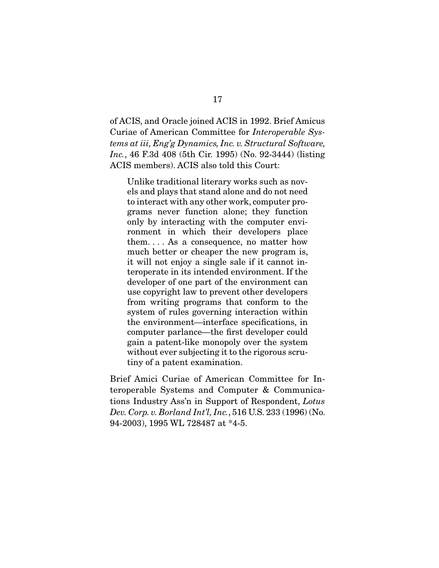of ACIS, and Oracle joined ACIS in 1992. Brief Amicus Curiae of American Committee for *Interoperable Systems at iii, Eng'g Dynamics, Inc. v. Structural Software, Inc.*, 46 F.3d 408 (5th Cir. 1995) (No. 92-3444) (listing ACIS members). ACIS also told this Court:

Unlike traditional literary works such as novels and plays that stand alone and do not need to interact with any other work, computer programs never function alone; they function only by interacting with the computer environment in which their developers place them. . . . As a consequence, no matter how much better or cheaper the new program is, it will not enjoy a single sale if it cannot interoperate in its intended environment. If the developer of one part of the environment can use copyright law to prevent other developers from writing programs that conform to the system of rules governing interaction within the environment—interface specifications, in computer parlance—the first developer could gain a patent-like monopoly over the system without ever subjecting it to the rigorous scrutiny of a patent examination.

Brief Amici Curiae of American Committee for Interoperable Systems and Computer & Communications Industry Ass'n in Support of Respondent, *Lotus Dev. Corp. v. Borland Int'l, Inc.*, 516 U.S. 233 (1996) (No. 94-2003), 1995 WL 728487 at \*4-5.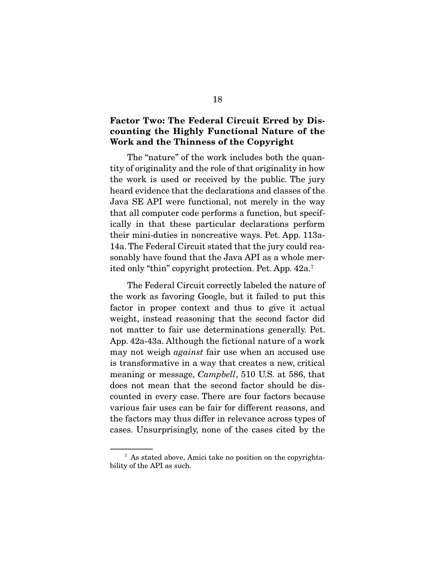### Factor Two: The Federal Circuit Erred by Discounting the Highly Functional Nature of the Work and the Thinness of the Copyright

 The "nature" of the work includes both the quantity of originality and the role of that originality in how the work is used or received by the public. The jury heard evidence that the declarations and classes of the Java SE API were functional, not merely in the way that all computer code performs a function, but specifically in that these particular declarations perform their mini-duties in noncreative ways. Pet. App. 113a-14a. The Federal Circuit stated that the jury could reasonably have found that the Java API as a whole merited only "thin" copyright protection. Pet. App. 42a.7

 The Federal Circuit correctly labeled the nature of the work as favoring Google, but it failed to put this factor in proper context and thus to give it actual weight, instead reasoning that the second factor did not matter to fair use determinations generally. Pet. App. 42a-43a. Although the fictional nature of a work may not weigh *against* fair use when an accused use is transformative in a way that creates a new, critical meaning or message, *Campbell*, 510 U.S. at 586, that does not mean that the second factor should be discounted in every case. There are four factors because various fair uses can be fair for different reasons, and the factors may thus differ in relevance across types of cases. Unsurprisingly, none of the cases cited by the

<sup>7</sup> As stated above, Amici take no position on the copyrightability of the API as such.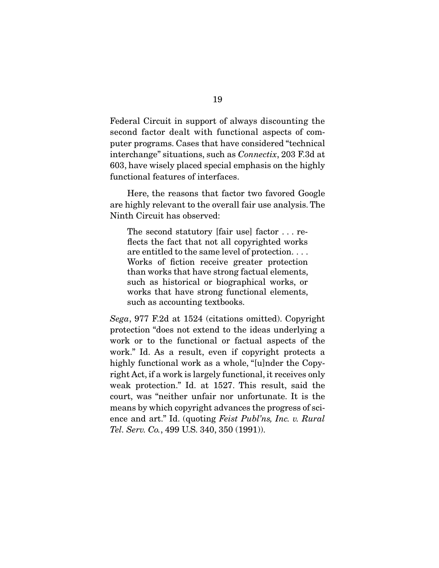Federal Circuit in support of always discounting the second factor dealt with functional aspects of computer programs. Cases that have considered "technical interchange" situations, such as *Connectix*, 203 F.3d at 603, have wisely placed special emphasis on the highly functional features of interfaces.

 Here, the reasons that factor two favored Google are highly relevant to the overall fair use analysis. The Ninth Circuit has observed:

The second statutory [fair use] factor . . . reflects the fact that not all copyrighted works are entitled to the same level of protection. . . . Works of fiction receive greater protection than works that have strong factual elements, such as historical or biographical works, or works that have strong functional elements, such as accounting textbooks.

*Sega*, 977 F.2d at 1524 (citations omitted). Copyright protection "does not extend to the ideas underlying a work or to the functional or factual aspects of the work." Id. As a result, even if copyright protects a highly functional work as a whole, "[u]nder the Copyright Act, if a work is largely functional, it receives only weak protection." Id. at 1527. This result, said the court, was "neither unfair nor unfortunate. It is the means by which copyright advances the progress of science and art." Id. (quoting *Feist Publ'ns, Inc. v. Rural Tel. Serv. Co.*, 499 U.S. 340, 350 (1991)).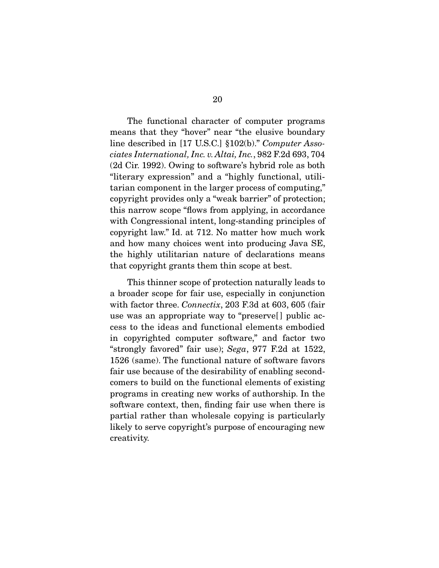The functional character of computer programs means that they "hover" near "the elusive boundary line described in [17 U.S.C.] §102(b)." *Computer Associates International, Inc. v. Altai, Inc.*, 982 F.2d 693, 704 (2d Cir. 1992). Owing to software's hybrid role as both "literary expression" and a "highly functional, utilitarian component in the larger process of computing," copyright provides only a "weak barrier" of protection; this narrow scope "flows from applying, in accordance with Congressional intent, long-standing principles of copyright law." Id. at 712. No matter how much work and how many choices went into producing Java SE, the highly utilitarian nature of declarations means that copyright grants them thin scope at best.

 This thinner scope of protection naturally leads to a broader scope for fair use, especially in conjunction with factor three. *Connectix*, 203 F.3d at 603, 605 (fair use was an appropriate way to "preserve[ ] public access to the ideas and functional elements embodied in copyrighted computer software," and factor two "strongly favored" fair use); *Sega*, 977 F.2d at 1522, 1526 (same). The functional nature of software favors fair use because of the desirability of enabling secondcomers to build on the functional elements of existing programs in creating new works of authorship. In the software context, then, finding fair use when there is partial rather than wholesale copying is particularly likely to serve copyright's purpose of encouraging new creativity.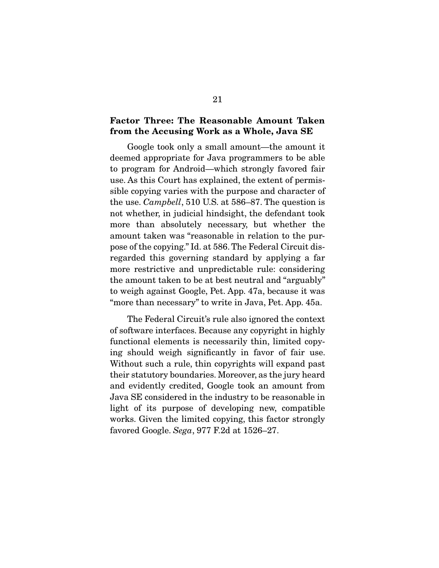#### Factor Three: The Reasonable Amount Taken from the Accusing Work as a Whole, Java SE

 Google took only a small amount—the amount it deemed appropriate for Java programmers to be able to program for Android—which strongly favored fair use. As this Court has explained, the extent of permissible copying varies with the purpose and character of the use. *Campbell*, 510 U.S. at 586–87. The question is not whether, in judicial hindsight, the defendant took more than absolutely necessary, but whether the amount taken was "reasonable in relation to the purpose of the copying." Id. at 586. The Federal Circuit disregarded this governing standard by applying a far more restrictive and unpredictable rule: considering the amount taken to be at best neutral and "arguably" to weigh against Google, Pet. App. 47a, because it was "more than necessary" to write in Java, Pet. App. 45a.

 The Federal Circuit's rule also ignored the context of software interfaces. Because any copyright in highly functional elements is necessarily thin, limited copying should weigh significantly in favor of fair use. Without such a rule, thin copyrights will expand past their statutory boundaries. Moreover, as the jury heard and evidently credited, Google took an amount from Java SE considered in the industry to be reasonable in light of its purpose of developing new, compatible works. Given the limited copying, this factor strongly favored Google. *Sega*, 977 F.2d at 1526–27.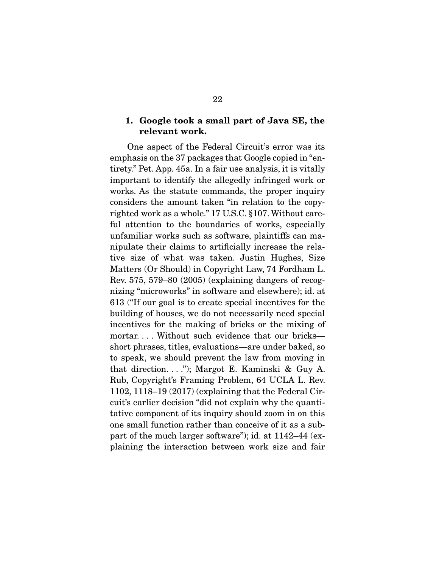#### 1. Google took a small part of Java SE, the relevant work.

 One aspect of the Federal Circuit's error was its emphasis on the 37 packages that Google copied in "entirety." Pet. App. 45a. In a fair use analysis, it is vitally important to identify the allegedly infringed work or works. As the statute commands, the proper inquiry considers the amount taken "in relation to the copyrighted work as a whole." 17 U.S.C. §107. Without careful attention to the boundaries of works, especially unfamiliar works such as software, plaintiffs can manipulate their claims to artificially increase the relative size of what was taken. Justin Hughes, Size Matters (Or Should) in Copyright Law, 74 Fordham L. Rev. 575, 579–80 (2005) (explaining dangers of recognizing "microworks" in software and elsewhere); id. at 613 ("If our goal is to create special incentives for the building of houses, we do not necessarily need special incentives for the making of bricks or the mixing of mortar... Without such evidence that our bricks short phrases, titles, evaluations—are under baked, so to speak, we should prevent the law from moving in that direction. . . ."); Margot E. Kaminski & Guy A. Rub, Copyright's Framing Problem, 64 UCLA L. Rev. 1102, 1118–19 (2017) (explaining that the Federal Circuit's earlier decision "did not explain why the quantitative component of its inquiry should zoom in on this one small function rather than conceive of it as a subpart of the much larger software"); id. at 1142–44 (explaining the interaction between work size and fair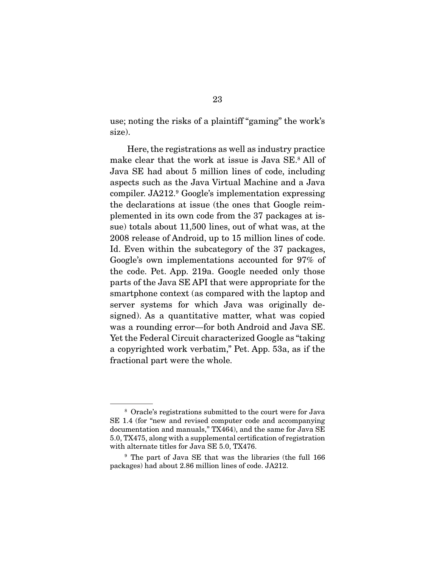use; noting the risks of a plaintiff "gaming" the work's size).

 Here, the registrations as well as industry practice make clear that the work at issue is Java SE.8 All of Java SE had about 5 million lines of code, including aspects such as the Java Virtual Machine and a Java compiler. JA212.9 Google's implementation expressing the declarations at issue (the ones that Google reimplemented in its own code from the 37 packages at issue) totals about 11,500 lines, out of what was, at the 2008 release of Android, up to 15 million lines of code. Id. Even within the subcategory of the 37 packages, Google's own implementations accounted for 97% of the code. Pet. App. 219a. Google needed only those parts of the Java SE API that were appropriate for the smartphone context (as compared with the laptop and server systems for which Java was originally designed). As a quantitative matter, what was copied was a rounding error—for both Android and Java SE. Yet the Federal Circuit characterized Google as "taking a copyrighted work verbatim," Pet. App. 53a, as if the fractional part were the whole.

<sup>8</sup> Oracle's registrations submitted to the court were for Java SE 1.4 (for "new and revised computer code and accompanying documentation and manuals," TX464), and the same for Java SE 5.0, TX475, along with a supplemental certification of registration with alternate titles for Java SE 5.0, TX476.

<sup>9</sup> The part of Java SE that was the libraries (the full 166 packages) had about 2.86 million lines of code. JA212.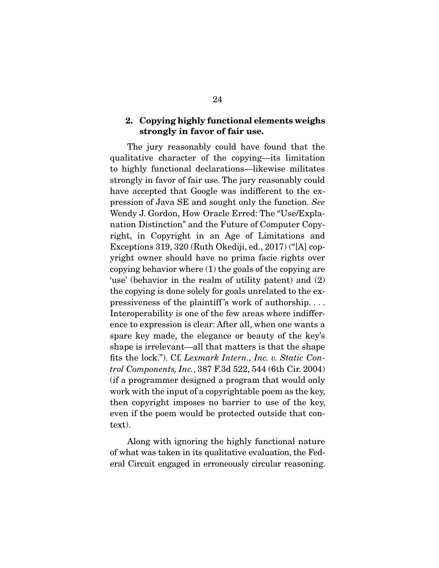#### 2. Copying highly functional elements weighs strongly in favor of fair use.

 The jury reasonably could have found that the qualitative character of the copying—its limitation to highly functional declarations—likewise militates strongly in favor of fair use. The jury reasonably could have accepted that Google was indifferent to the expression of Java SE and sought only the function. *See* Wendy J. Gordon, How Oracle Erred: The "Use/Explanation Distinction" and the Future of Computer Copyright, in Copyright in an Age of Limitations and Exceptions 319, 320 (Ruth Okediji, ed., 2017) ("[A] copyright owner should have no prima facie rights over copying behavior where (1) the goals of the copying are 'use' (behavior in the realm of utility patent) and (2) the copying is done solely for goals unrelated to the expressiveness of the plaintiff 's work of authorship. . . . Interoperability is one of the few areas where indifference to expression is clear: After all, when one wants a spare key made, the elegance or beauty of the key's shape is irrelevant—all that matters is that the shape fits the lock."). Cf. *Lexmark Intern., Inc. v. Static Control Components, Inc.*, 387 F.3d 522, 544 (6th Cir. 2004) (if a programmer designed a program that would only work with the input of a copyrightable poem as the key, then copyright imposes no barrier to use of the key, even if the poem would be protected outside that context).

 Along with ignoring the highly functional nature of what was taken in its qualitative evaluation, the Federal Circuit engaged in erroneously circular reasoning.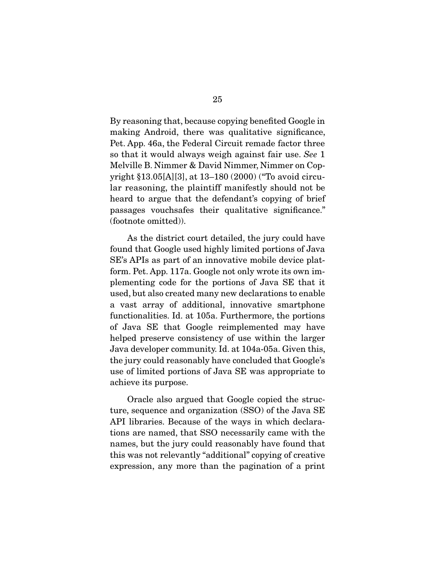By reasoning that, because copying benefited Google in making Android, there was qualitative significance, Pet. App. 46a, the Federal Circuit remade factor three so that it would always weigh against fair use. *See* 1 Melville B. Nimmer & David Nimmer, Nimmer on Copyright §13.05[A][3], at 13–180 (2000) ("To avoid circular reasoning, the plaintiff manifestly should not be heard to argue that the defendant's copying of brief passages vouchsafes their qualitative significance." (footnote omitted)).

 As the district court detailed, the jury could have found that Google used highly limited portions of Java SE's APIs as part of an innovative mobile device platform. Pet. App. 117a. Google not only wrote its own implementing code for the portions of Java SE that it used, but also created many new declarations to enable a vast array of additional, innovative smartphone functionalities. Id. at 105a. Furthermore, the portions of Java SE that Google reimplemented may have helped preserve consistency of use within the larger Java developer community. Id. at 104a-05a. Given this, the jury could reasonably have concluded that Google's use of limited portions of Java SE was appropriate to achieve its purpose.

 Oracle also argued that Google copied the structure, sequence and organization (SSO) of the Java SE API libraries. Because of the ways in which declarations are named, that SSO necessarily came with the names, but the jury could reasonably have found that this was not relevantly "additional" copying of creative expression, any more than the pagination of a print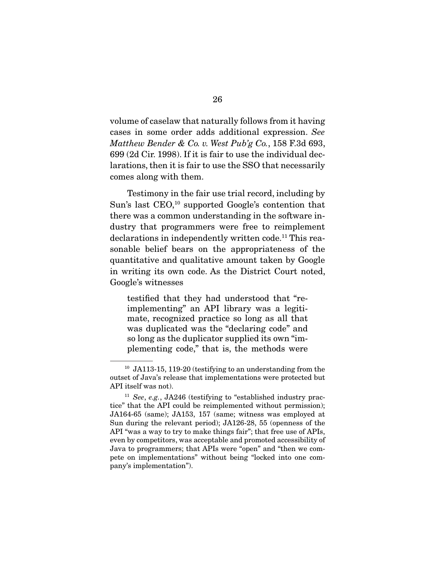volume of caselaw that naturally follows from it having cases in some order adds additional expression. *See Matthew Bender & Co. v. West Pub'g Co.*, 158 F.3d 693, 699 (2d Cir. 1998). If it is fair to use the individual declarations, then it is fair to use the SSO that necessarily comes along with them.

 Testimony in the fair use trial record, including by Sun's last CEO,<sup>10</sup> supported Google's contention that there was a common understanding in the software industry that programmers were free to reimplement declarations in independently written code.<sup>11</sup> This reasonable belief bears on the appropriateness of the quantitative and qualitative amount taken by Google in writing its own code. As the District Court noted, Google's witnesses

testified that they had understood that "reimplementing" an API library was a legitimate, recognized practice so long as all that was duplicated was the "declaring code" and so long as the duplicator supplied its own "implementing code," that is, the methods were

<sup>10</sup> JA113-15, 119-20 (testifying to an understanding from the outset of Java's release that implementations were protected but API itself was not).

<sup>11</sup> *See*, *e.g.*, JA246 (testifying to "established industry practice" that the API could be reimplemented without permission); JA164-65 (same); JA153, 157 (same; witness was employed at Sun during the relevant period); JA126-28, 55 (openness of the API "was a way to try to make things fair"; that free use of APIs, even by competitors, was acceptable and promoted accessibility of Java to programmers; that APIs were "open" and "then we compete on implementations" without being "locked into one company's implementation").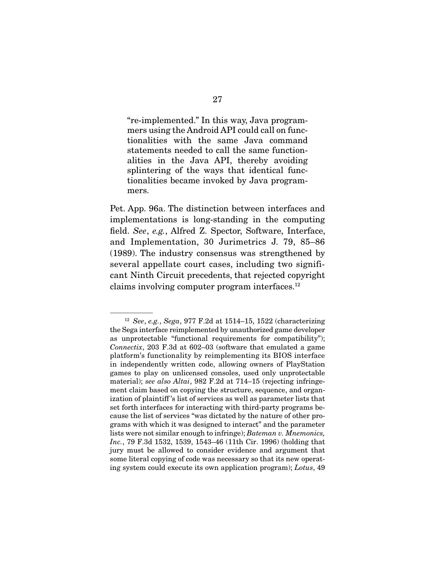"re-implemented." In this way, Java programmers using the Android API could call on functionalities with the same Java command statements needed to call the same functionalities in the Java API, thereby avoiding splintering of the ways that identical functionalities became invoked by Java programmers.

Pet. App. 96a. The distinction between interfaces and implementations is long-standing in the computing field. *See*, *e.g.*, Alfred Z. Spector, Software, Interface, and Implementation, 30 Jurimetrics J. 79, 85–86 (1989). The industry consensus was strengthened by several appellate court cases, including two significant Ninth Circuit precedents, that rejected copyright claims involving computer program interfaces.12

<sup>12</sup> *See*, *e.g.*, *Sega*, 977 F.2d at 1514–15, 1522 (characterizing the Sega interface reimplemented by unauthorized game developer as unprotectable "functional requirements for compatibility"); *Connectix*, 203 F.3d at 602–03 (software that emulated a game platform's functionality by reimplementing its BIOS interface in independently written code, allowing owners of PlayStation games to play on unlicensed consoles, used only unprotectable material); *see also Altai*, 982 F.2d at 714–15 (rejecting infringement claim based on copying the structure, sequence, and organization of plaintiff 's list of services as well as parameter lists that set forth interfaces for interacting with third-party programs because the list of services "was dictated by the nature of other programs with which it was designed to interact" and the parameter lists were not similar enough to infringe); *Bateman v. Mnemonics, Inc.*, 79 F.3d 1532, 1539, 1543–46 (11th Cir. 1996) (holding that jury must be allowed to consider evidence and argument that some literal copying of code was necessary so that its new operating system could execute its own application program); *Lotus*, 49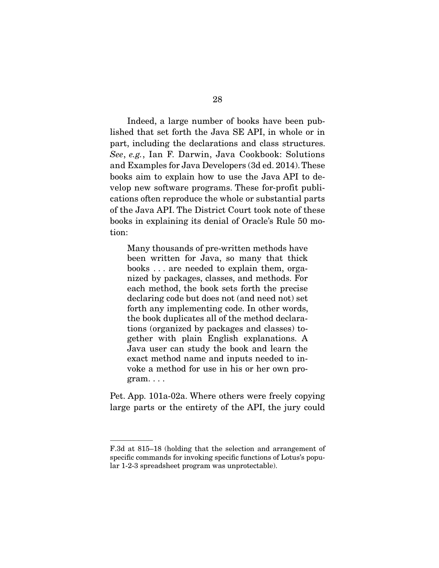Indeed, a large number of books have been published that set forth the Java SE API, in whole or in part, including the declarations and class structures. *See*, *e.g.*, Ian F. Darwin, Java Cookbook: Solutions and Examples for Java Developers (3d ed. 2014). These books aim to explain how to use the Java API to develop new software programs. These for-profit publications often reproduce the whole or substantial parts of the Java API. The District Court took note of these books in explaining its denial of Oracle's Rule 50 motion:

Many thousands of pre-written methods have been written for Java, so many that thick books . . . are needed to explain them, organized by packages, classes, and methods. For each method, the book sets forth the precise declaring code but does not (and need not) set forth any implementing code. In other words, the book duplicates all of the method declarations (organized by packages and classes) together with plain English explanations. A Java user can study the book and learn the exact method name and inputs needed to invoke a method for use in his or her own program. . . .

Pet. App. 101a-02a. Where others were freely copying large parts or the entirety of the API, the jury could

F.3d at 815–18 (holding that the selection and arrangement of specific commands for invoking specific functions of Lotus's popular 1-2-3 spreadsheet program was unprotectable).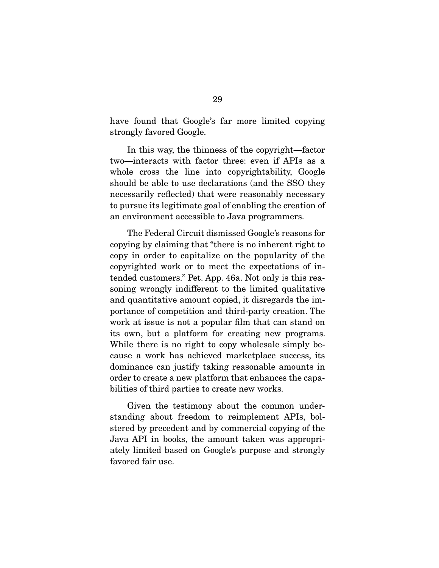have found that Google's far more limited copying strongly favored Google.

 In this way, the thinness of the copyright—factor two—interacts with factor three: even if APIs as a whole cross the line into copyrightability, Google should be able to use declarations (and the SSO they necessarily reflected) that were reasonably necessary to pursue its legitimate goal of enabling the creation of an environment accessible to Java programmers.

 The Federal Circuit dismissed Google's reasons for copying by claiming that "there is no inherent right to copy in order to capitalize on the popularity of the copyrighted work or to meet the expectations of intended customers." Pet. App. 46a. Not only is this reasoning wrongly indifferent to the limited qualitative and quantitative amount copied, it disregards the importance of competition and third-party creation. The work at issue is not a popular film that can stand on its own, but a platform for creating new programs. While there is no right to copy wholesale simply because a work has achieved marketplace success, its dominance can justify taking reasonable amounts in order to create a new platform that enhances the capabilities of third parties to create new works.

 Given the testimony about the common understanding about freedom to reimplement APIs, bolstered by precedent and by commercial copying of the Java API in books, the amount taken was appropriately limited based on Google's purpose and strongly favored fair use.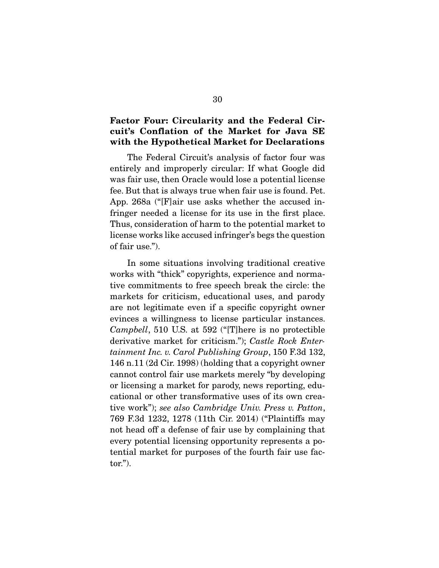#### Factor Four: Circularity and the Federal Circuit's Conflation of the Market for Java SE with the Hypothetical Market for Declarations

 The Federal Circuit's analysis of factor four was entirely and improperly circular: If what Google did was fair use, then Oracle would lose a potential license fee. But that is always true when fair use is found. Pet. App. 268a ("[F]air use asks whether the accused infringer needed a license for its use in the first place. Thus, consideration of harm to the potential market to license works like accused infringer's begs the question of fair use.").

 In some situations involving traditional creative works with "thick" copyrights, experience and normative commitments to free speech break the circle: the markets for criticism, educational uses, and parody are not legitimate even if a specific copyright owner evinces a willingness to license particular instances. *Campbell*, 510 U.S. at 592 ("[T]here is no protectible derivative market for criticism."); *Castle Rock Entertainment Inc. v. Carol Publishing Group*, 150 F.3d 132, 146 n.11 (2d Cir. 1998) (holding that a copyright owner cannot control fair use markets merely "by developing or licensing a market for parody, news reporting, educational or other transformative uses of its own creative work"); *see also Cambridge Univ. Press v. Patton*, 769 F.3d 1232, 1278 (11th Cir. 2014) ("Plaintiffs may not head off a defense of fair use by complaining that every potential licensing opportunity represents a potential market for purposes of the fourth fair use factor.").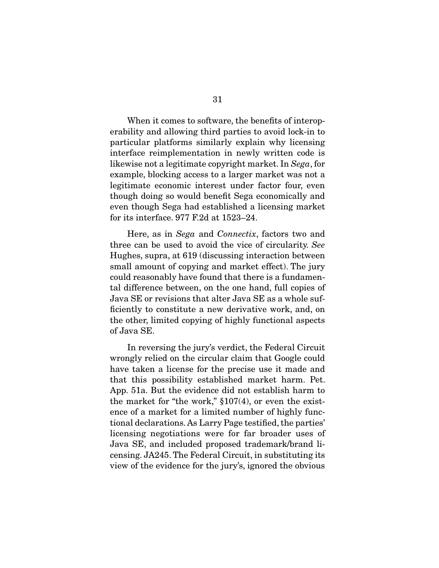When it comes to software, the benefits of interoperability and allowing third parties to avoid lock-in to particular platforms similarly explain why licensing interface reimplementation in newly written code is likewise not a legitimate copyright market. In *Sega*, for example, blocking access to a larger market was not a legitimate economic interest under factor four, even though doing so would benefit Sega economically and even though Sega had established a licensing market for its interface. 977 F.2d at 1523–24.

 Here, as in *Sega* and *Connectix*, factors two and three can be used to avoid the vice of circularity. *See*  Hughes, supra, at 619 (discussing interaction between small amount of copying and market effect). The jury could reasonably have found that there is a fundamental difference between, on the one hand, full copies of Java SE or revisions that alter Java SE as a whole sufficiently to constitute a new derivative work, and, on the other, limited copying of highly functional aspects of Java SE.

 In reversing the jury's verdict, the Federal Circuit wrongly relied on the circular claim that Google could have taken a license for the precise use it made and that this possibility established market harm. Pet. App. 51a. But the evidence did not establish harm to the market for "the work,"  $$107(4)$ , or even the existence of a market for a limited number of highly functional declarations. As Larry Page testified, the parties' licensing negotiations were for far broader uses of Java SE, and included proposed trademark/brand licensing. JA245. The Federal Circuit, in substituting its view of the evidence for the jury's, ignored the obvious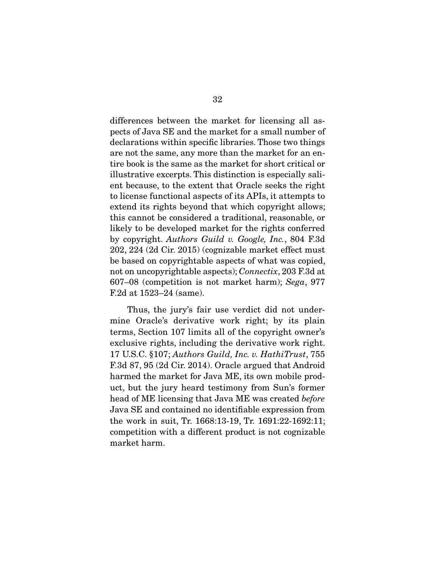differences between the market for licensing all aspects of Java SE and the market for a small number of declarations within specific libraries. Those two things are not the same, any more than the market for an entire book is the same as the market for short critical or illustrative excerpts. This distinction is especially salient because, to the extent that Oracle seeks the right to license functional aspects of its APIs, it attempts to extend its rights beyond that which copyright allows; this cannot be considered a traditional, reasonable, or likely to be developed market for the rights conferred by copyright. *Authors Guild v. Google, Inc.*, 804 F.3d 202, 224 (2d Cir. 2015) (cognizable market effect must be based on copyrightable aspects of what was copied, not on uncopyrightable aspects); *Connectix*, 203 F.3d at 607–08 (competition is not market harm); *Sega*, 977 F.2d at 1523–24 (same).

 Thus, the jury's fair use verdict did not undermine Oracle's derivative work right; by its plain terms, Section 107 limits all of the copyright owner's exclusive rights, including the derivative work right. 17 U.S.C. §107; *Authors Guild, Inc. v. HathiTrust*, 755 F.3d 87, 95 (2d Cir. 2014). Oracle argued that Android harmed the market for Java ME, its own mobile product, but the jury heard testimony from Sun's former head of ME licensing that Java ME was created *before* Java SE and contained no identifiable expression from the work in suit, Tr. 1668:13-19, Tr. 1691:22-1692:11; competition with a different product is not cognizable market harm.